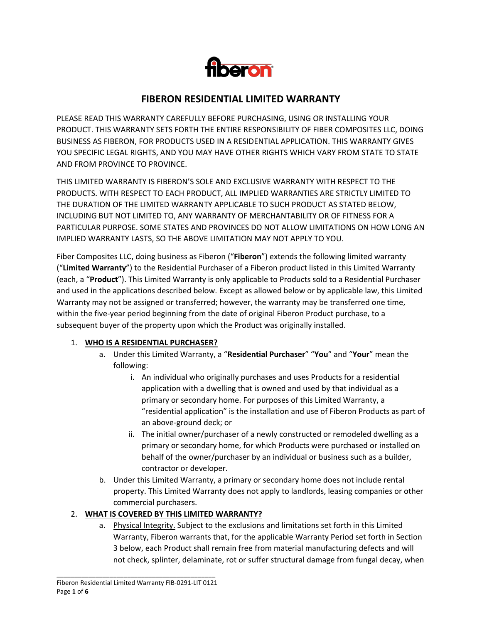

# **FIBERON RESIDENTIAL LIMITED WARRANTY**

PLEASE READ THIS WARRANTY CAREFULLY BEFORE PURCHASING, USING OR INSTALLING YOUR PRODUCT. THIS WARRANTY SETS FORTH THE ENTIRE RESPONSIBILITY OF FIBER COMPOSITES LLC, DOING BUSINESS AS FIBERON, FOR PRODUCTS USED IN A RESIDENTIAL APPLICATION. THIS WARRANTY GIVES YOU SPECIFIC LEGAL RIGHTS, AND YOU MAY HAVE OTHER RIGHTS WHICH VARY FROM STATE TO STATE AND FROM PROVINCE TO PROVINCE.

THIS LIMITED WARRANTY IS FIBERON'S SOLE AND EXCLUSIVE WARRANTY WITH RESPECT TO THE PRODUCTS. WITH RESPECT TO EACH PRODUCT, ALL IMPLIED WARRANTIES ARE STRICTLY LIMITED TO THE DURATION OF THE LIMITED WARRANTY APPLICABLE TO SUCH PRODUCT AS STATED BELOW, INCLUDING BUT NOT LIMITED TO, ANY WARRANTY OF MERCHANTABILITY OR OF FITNESS FOR A PARTICULAR PURPOSE. SOME STATES AND PROVINCES DO NOT ALLOW LIMITATIONS ON HOW LONG AN IMPLIED WARRANTY LASTS, SO THE ABOVE LIMITATION MAY NOT APPLY TO YOU.

Fiber Composites LLC, doing business as Fiberon ("**Fiberon**") extends the following limited warranty ("**Limited Warranty**") to the Residential Purchaser of a Fiberon product listed in this Limited Warranty (each, a "**Product**"). This Limited Warranty is only applicable to Products sold to a Residential Purchaser and used in the applications described below. Except as allowed below or by applicable law, this Limited Warranty may not be assigned or transferred; however, the warranty may be transferred one time, within the five-year period beginning from the date of original Fiberon Product purchase, to a subsequent buyer of the property upon which the Product was originally installed.

#### 1. **WHO IS A RESIDENTIAL PURCHASER?**

- a. Under this Limited Warranty, a "**Residential Purchaser**" "**You**" and "**Your**" mean the following:
	- i. An individual who originally purchases and uses Products for a residential application with a dwelling that is owned and used by that individual as a primary or secondary home. For purposes of this Limited Warranty, a "residential application" is the installation and use of Fiberon Products as part of an above-ground deck; or
	- ii. The initial owner/purchaser of a newly constructed or remodeled dwelling as a primary or secondary home, for which Products were purchased or installed on behalf of the owner/purchaser by an individual or business such as a builder, contractor or developer.
- b. Under this Limited Warranty, a primary or secondary home does not include rental property. This Limited Warranty does not apply to landlords, leasing companies or other commercial purchasers.

#### 2. **WHAT IS COVERED BY THIS LIMITED WARRANTY?**

a. Physical Integrity. Subject to the exclusions and limitations set forth in this Limited Warranty, Fiberon warrants that, for the applicable Warranty Period set forth in Section 3 below, each Product shall remain free from material manufacturing defects and will not check, splinter, delaminate, rot or suffer structural damage from fungal decay, when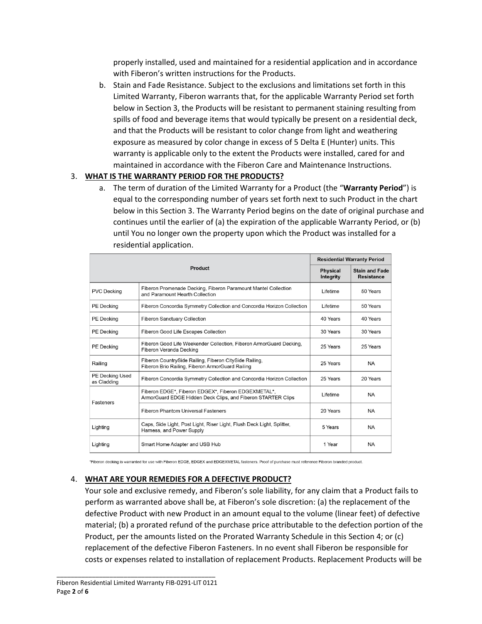properly installed, used and maintained for a residential application and in accordance with Fiberon's written instructions for the Products.

b. Stain and Fade Resistance. Subject to the exclusions and limitations set forth in this Limited Warranty, Fiberon warrants that, for the applicable Warranty Period set forth below in Section 3, the Products will be resistant to permanent staining resulting from spills of food and beverage items that would typically be present on a residential deck, and that the Products will be resistant to color change from light and weathering exposure as measured by color change in excess of 5 Delta E (Hunter) units. This warranty is applicable only to the extent the Products were installed, cared for and maintained in accordance with the Fiberon Care and Maintenance Instructions.

### 3. **WHAT IS THE WARRANTY PERIOD FOR THE PRODUCTS?**

a. The term of duration of the Limited Warranty for a Product (the "**Warranty Period**") is equal to the corresponding number of years set forth next to such Product in the chart below in this Section 3. The Warranty Period begins on the date of original purchase and continues until the earlier of (a) the expiration of the applicable Warranty Period, or (b) until You no longer own the property upon which the Product was installed for a residential application.

|                                       | <b>Residential Warranty Period</b>                                                                                  |                      |           |  |
|---------------------------------------|---------------------------------------------------------------------------------------------------------------------|----------------------|-----------|--|
|                                       | <b>Stain and Fade</b><br><b>Physical</b><br><b>Resistance</b><br>Integrity                                          |                      |           |  |
| <b>PVC Decking</b>                    | Fiberon Promenade Decking, Fiberon Paramount Mantel Collection<br>and Paramount Hearth Collection                   | Lifetime<br>50 Years |           |  |
| PE Decking                            | Fiberon Concordia Symmetry Collection and Concordia Horizon Collection                                              | Lifetime<br>50 Years |           |  |
| PE Decking                            | <b>Fiberon Sanctuary Collection</b>                                                                                 | 40 Years             | 40 Years  |  |
| PE Decking                            | Fiberon Good Life Escapes Collection                                                                                | 30 Years             | 30 Years  |  |
| <b>PE</b> Decking                     | Fiberon Good Life Weekender Collection, Fiberon ArmorGuard Decking,<br>Fiberon Veranda Decking                      | 25 Years             | 25 Years  |  |
| Railing                               | Fiberon CountrySide Railing, Fiberon CitySide Railing,<br>Fiberon Brio Railing, Fiberon ArmorGuard Railing          | 25 Years             | NA.       |  |
| <b>PE Decking Used</b><br>as Cladding | Fiberon Concordia Symmetry Collection and Concordia Horizon Collection                                              | 25 Years             | 20 Years  |  |
| Fasteners                             | Fiberon EDGE*, Fiberon EDGEX*, Fiberon EDGEXMETAL*,<br>ArmorGuard EDGE Hidden Deck Clips, and Fiberon STARTER Clips | Lifetime             | <b>NA</b> |  |
|                                       | <b>Fiberon Phantom Universal Fasteners</b>                                                                          | 20 Years             | <b>NA</b> |  |
| Lighting                              | Caps, Side Light, Post Light, Riser Light, Flush Deck Light, Splitter,<br>Harness, and Power Supply                 | 5 Years<br><b>NA</b> |           |  |
| Lighting                              | Smart Home Adapter and USB Hub                                                                                      | 1 Year               | <b>NA</b> |  |

\*Fiberon decking is warranted for use with Fiberon EDGE, EDGEX and EDGEXMETAL fasteners. Proof of purchase must reference Fiberon branded product.

#### 4. **WHAT ARE YOUR REMEDIES FOR A DEFECTIVE PRODUCT?**

Your sole and exclusive remedy, and Fiberon's sole liability, for any claim that a Product fails to perform as warranted above shall be, at Fiberon's sole discretion: (a) the replacement of the defective Product with new Product in an amount equal to the volume (linear feet) of defective material; (b) a prorated refund of the purchase price attributable to the defection portion of the Product, per the amounts listed on the Prorated Warranty Schedule in this Section 4; or (c) replacement of the defective Fiberon Fasteners. In no event shall Fiberon be responsible for costs or expenses related to installation of replacement Products. Replacement Products will be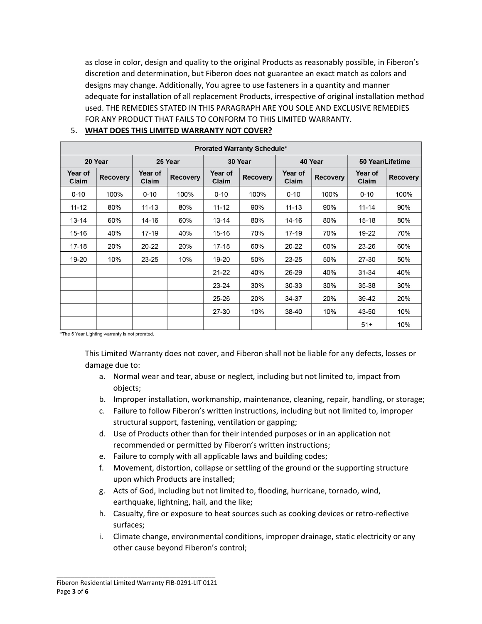as close in color, design and quality to the original Products as reasonably possible, in Fiberon's discretion and determination, but Fiberon does not guarantee an exact match as colors and designs may change. Additionally, You agree to use fasteners in a quantity and manner adequate for installation of all replacement Products, irrespective of original installation method used. THE REMEDIES STATED IN THIS PARAGRAPH ARE YOU SOLE AND EXCLUSIVE REMEDIES FOR ANY PRODUCT THAT FAILS TO CONFORM TO THIS LIMITED WARRANTY.

| <b>Prorated Warranty Schedule*</b> |                 |                         |                 |                  |                 |                  |                 |                  |                 |  |
|------------------------------------|-----------------|-------------------------|-----------------|------------------|-----------------|------------------|-----------------|------------------|-----------------|--|
| 20 Year                            |                 | 25 Year                 |                 | 30 Year          |                 | 40 Year          |                 | 50 Year/Lifetime |                 |  |
| Year of<br>Claim                   | <b>Recovery</b> | <b>Year of</b><br>Claim | <b>Recovery</b> | Year of<br>Claim | <b>Recovery</b> | Year of<br>Claim | <b>Recovery</b> | Year of<br>Claim | <b>Recovery</b> |  |
| $0 - 10$                           | 100%            | $0 - 10$                | 100%            | $0 - 10$         | 100%            | $0 - 10$         | 100%            | $0 - 10$         | 100%            |  |
| $11 - 12$                          | 80%             | $11 - 13$               | 80%             | $11 - 12$        | 90%             | $11 - 13$        | 90%             | $11 - 14$        | 90%             |  |
| $13 - 14$                          | 60%             | 14-16                   | 60%             | $13 - 14$        | 80%             | 14-16            | 80%             | $15 - 18$        | 80%             |  |
| $15 - 16$                          | 40%             | $17 - 19$               | 40%             | 15-16            | 70%             | $17 - 19$        | 70%             | 19-22            | 70%             |  |
| $17 - 18$                          | 20%             | $20 - 22$               | 20%             | 17-18            | 60%             | $20 - 22$        | 60%             | $23 - 26$        | 60%             |  |
| 19-20                              | 10%             | 23-25                   | 10%             | 19-20            | 50%             | 23-25            | 50%             | 27-30            | 50%             |  |
|                                    |                 |                         |                 | $21 - 22$        | 40%             | 26-29            | 40%             | 31-34            | 40%             |  |
|                                    |                 |                         |                 | 23-24            | 30%             | 30-33            | 30%             | 35-38            | 30%             |  |
|                                    |                 |                         |                 | $25 - 26$        | 20%             | 34-37            | 20%             | 39-42            | 20%             |  |
|                                    |                 |                         |                 | 27-30            | 10%             | 38-40            | 10%             | 43-50            | 10%             |  |
|                                    |                 |                         |                 |                  |                 |                  |                 | $51+$            | 10%             |  |

### 5. **WHAT DOES THIS LIMITED WARRANTY NOT COVER?**

\*The 5 Year Lighting warranty is not prorated.

This Limited Warranty does not cover, and Fiberon shall not be liable for any defects, losses or damage due to:

- a. Normal wear and tear, abuse or neglect, including but not limited to, impact from objects;
- b. Improper installation, workmanship, maintenance, cleaning, repair, handling, or storage;
- c. Failure to follow Fiberon's written instructions, including but not limited to, improper structural support, fastening, ventilation or gapping;
- d. Use of Products other than for their intended purposes or in an application not recommended or permitted by Fiberon's written instructions;
- e. Failure to comply with all applicable laws and building codes;
- f. Movement, distortion, collapse or settling of the ground or the supporting structure upon which Products are installed;
- g. Acts of God, including but not limited to, flooding, hurricane, tornado, wind, earthquake, lightning, hail, and the like;
- h. Casualty, fire or exposure to heat sources such as cooking devices or retro-reflective surfaces;
- i. Climate change, environmental conditions, improper drainage, static electricity or any other cause beyond Fiberon's control;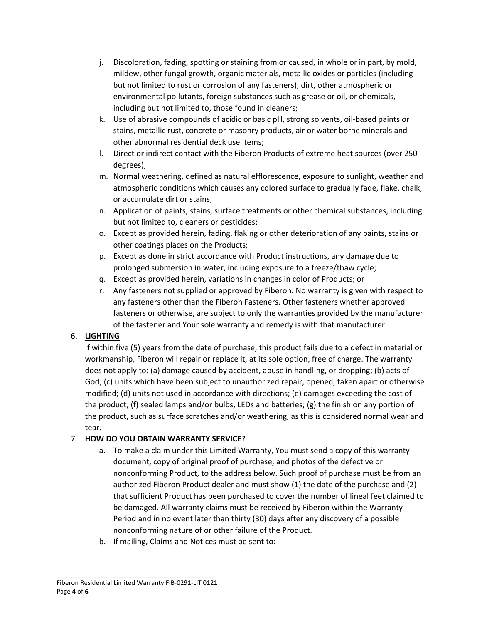- j. Discoloration, fading, spotting or staining from or caused, in whole or in part, by mold, mildew, other fungal growth, organic materials, metallic oxides or particles (including but not limited to rust or corrosion of any fasteners), dirt, other atmospheric or environmental pollutants, foreign substances such as grease or oil, or chemicals, including but not limited to, those found in cleaners;
- k. Use of abrasive compounds of acidic or basic pH, strong solvents, oil-based paints or stains, metallic rust, concrete or masonry products, air or water borne minerals and other abnormal residential deck use items;
- l. Direct or indirect contact with the Fiberon Products of extreme heat sources (over 250 degrees);
- m. Normal weathering, defined as natural efflorescence, exposure to sunlight, weather and atmospheric conditions which causes any colored surface to gradually fade, flake, chalk, or accumulate dirt or stains;
- n. Application of paints, stains, surface treatments or other chemical substances, including but not limited to, cleaners or pesticides;
- o. Except as provided herein, fading, flaking or other deterioration of any paints, stains or other coatings places on the Products;
- p. Except as done in strict accordance with Product instructions, any damage due to prolonged submersion in water, including exposure to a freeze/thaw cycle;
- q. Except as provided herein, variations in changes in color of Products; or
- r. Any fasteners not supplied or approved by Fiberon. No warranty is given with respect to any fasteners other than the Fiberon Fasteners. Other fasteners whether approved fasteners or otherwise, are subject to only the warranties provided by the manufacturer of the fastener and Your sole warranty and remedy is with that manufacturer.

## 6. **LIGHTING**

If within five (5) years from the date of purchase, this product fails due to a defect in material or workmanship, Fiberon will repair or replace it, at its sole option, free of charge. The warranty does not apply to: (a) damage caused by accident, abuse in handling, or dropping; (b) acts of God; (c) units which have been subject to unauthorized repair, opened, taken apart or otherwise modified; (d) units not used in accordance with directions; (e) damages exceeding the cost of the product; (f) sealed lamps and/or bulbs, LEDs and batteries; (g) the finish on any portion of the product, such as surface scratches and/or weathering, as this is considered normal wear and tear.

# 7. **HOW DO YOU OBTAIN WARRANTY SERVICE?**

- a. To make a claim under this Limited Warranty, You must send a copy of this warranty document, copy of original proof of purchase, and photos of the defective or nonconforming Product, to the address below. Such proof of purchase must be from an authorized Fiberon Product dealer and must show (1) the date of the purchase and (2) that sufficient Product has been purchased to cover the number of lineal feet claimed to be damaged. All warranty claims must be received by Fiberon within the Warranty Period and in no event later than thirty (30) days after any discovery of a possible nonconforming nature of or other failure of the Product.
- b. If mailing, Claims and Notices must be sent to: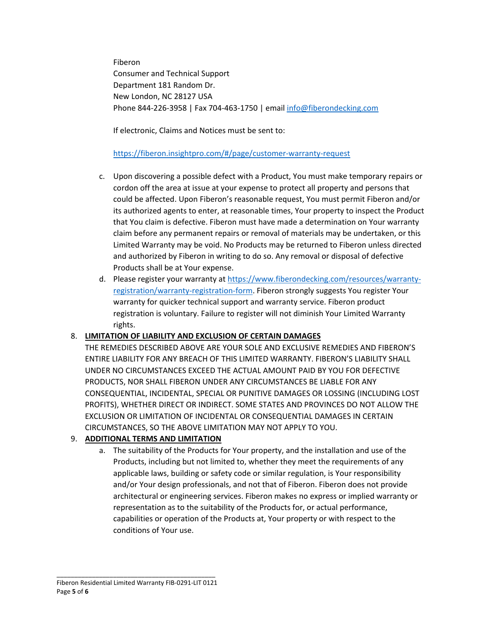Fiberon Consumer and Technical Support Department 181 Random Dr. New London, NC 28127 USA Phone 844-226-3958 | Fax 704-463-1750 | emai[l info@fiberondecking.com](mailto:info@fiberondecking.com)

If electronic, Claims and Notices must be sent to:

### <https://fiberon.insightpro.com/#/page/customer-warranty-request>

- c. Upon discovering a possible defect with a Product, You must make temporary repairs or cordon off the area at issue at your expense to protect all property and persons that could be affected. Upon Fiberon's reasonable request, You must permit Fiberon and/or its authorized agents to enter, at reasonable times, Your property to inspect the Product that You claim is defective. Fiberon must have made a determination on Your warranty claim before any permanent repairs or removal of materials may be undertaken, or this Limited Warranty may be void. No Products may be returned to Fiberon unless directed and authorized by Fiberon in writing to do so. Any removal or disposal of defective Products shall be at Your expense.
- d. Please register your warranty at [https://www.fiberondecking.com/resources/warranty](https://www.fiberondecking.com/resources/warranty-registration/warranty-registration-form)[registration/warranty-registration-form.](https://www.fiberondecking.com/resources/warranty-registration/warranty-registration-form) Fiberon strongly suggests You register Your warranty for quicker technical support and warranty service. Fiberon product registration is voluntary. Failure to register will not diminish Your Limited Warranty rights.

## 8. **LIMITATION OF LIABILITY AND EXCLUSION OF CERTAIN DAMAGES**

THE REMEDIES DESCRIBED ABOVE ARE YOUR SOLE AND EXCLUSIVE REMEDIES AND FIBERON'S ENTIRE LIABILITY FOR ANY BREACH OF THIS LIMITED WARRANTY. FIBERON'S LIABILITY SHALL UNDER NO CIRCUMSTANCES EXCEED THE ACTUAL AMOUNT PAID BY YOU FOR DEFECTIVE PRODUCTS, NOR SHALL FIBERON UNDER ANY CIRCUMSTANCES BE LIABLE FOR ANY CONSEQUENTIAL, INCIDENTAL, SPECIAL OR PUNITIVE DAMAGES OR LOSSING (INCLUDING LOST PROFITS), WHETHER DIRECT OR INDIRECT. SOME STATES AND PROVINCES DO NOT ALLOW THE EXCLUSION OR LIMITATION OF INCIDENTAL OR CONSEQUENTIAL DAMAGES IN CERTAIN CIRCUMSTANCES, SO THE ABOVE LIMITATION MAY NOT APPLY TO YOU.

## 9. **ADDITIONAL TERMS AND LIMITATION**

a. The suitability of the Products for Your property, and the installation and use of the Products, including but not limited to, whether they meet the requirements of any applicable laws, building or safety code or similar regulation, is Your responsibility and/or Your design professionals, and not that of Fiberon. Fiberon does not provide architectural or engineering services. Fiberon makes no express or implied warranty or representation as to the suitability of the Products for, or actual performance, capabilities or operation of the Products at, Your property or with respect to the conditions of Your use.